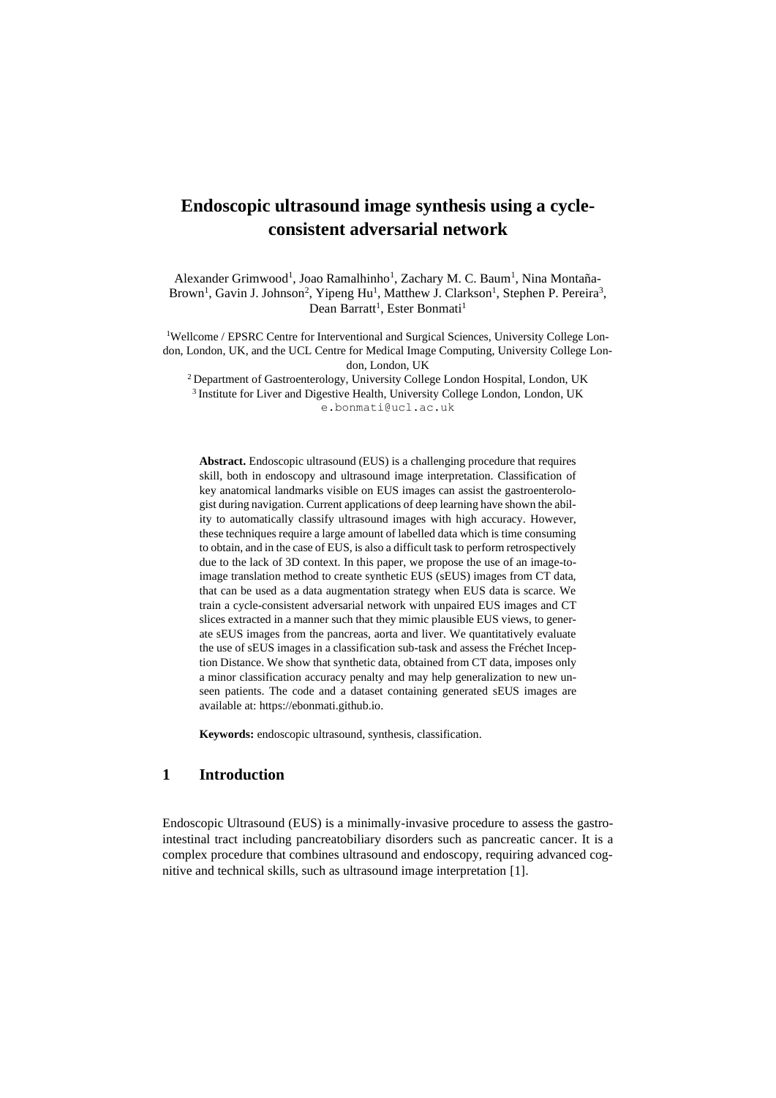# **Endoscopic ultrasound image synthesis using a cycleconsistent adversarial network**

Alexander Grimwood<sup>1</sup>, Joao Ramalhinho<sup>1</sup>, Zachary M. C. Baum<sup>1</sup>, Nina Montaña-Brown<sup>1</sup>, Gavin J. Johnson<sup>2</sup>, Yipeng Hu<sup>1</sup>, Matthew J. Clarkson<sup>1</sup>, Stephen P. Pereira<sup>3</sup>, Dean Barratt<sup>1</sup>, Ester Bonmati<sup>1</sup>

1Wellcome / EPSRC Centre for Interventional and Surgical Sciences, University College London, London, UK, and the UCL Centre for Medical Image Computing, University College London, London, UK

<sup>2</sup> Department of Gastroenterology, University College London Hospital, London, UK <sup>3</sup> Institute for Liver and Digestive Health, University College London, London, UK e.bonmati@ucl.ac.uk

**Abstract.** Endoscopic ultrasound (EUS) is a challenging procedure that requires skill, both in endoscopy and ultrasound image interpretation. Classification of key anatomical landmarks visible on EUS images can assist the gastroenterologist during navigation. Current applications of deep learning have shown the ability to automatically classify ultrasound images with high accuracy. However, these techniques require a large amount of labelled data which is time consuming to obtain, and in the case of EUS, is also a difficult task to perform retrospectively due to the lack of 3D context. In this paper, we propose the use of an image-toimage translation method to create synthetic EUS (sEUS) images from CT data, that can be used as a data augmentation strategy when EUS data is scarce. We train a cycle-consistent adversarial network with unpaired EUS images and CT slices extracted in a manner such that they mimic plausible EUS views, to generate sEUS images from the pancreas, aorta and liver. We quantitatively evaluate the use of sEUS images in a classification sub-task and assess the Fréchet Inception Distance. We show that synthetic data, obtained from CT data, imposes only a minor classification accuracy penalty and may help generalization to new unseen patients. The code and a dataset containing generated sEUS images are available at: https://ebonmati.github.io.

**Keywords:** endoscopic ultrasound, synthesis, classification.

# **1 Introduction**

Endoscopic Ultrasound (EUS) is a minimally-invasive procedure to assess the gastrointestinal tract including pancreatobiliary disorders such as pancreatic cancer. It is a complex procedure that combines ultrasound and endoscopy, requiring advanced cognitive and technical skills, such as ultrasound image interpretation [1].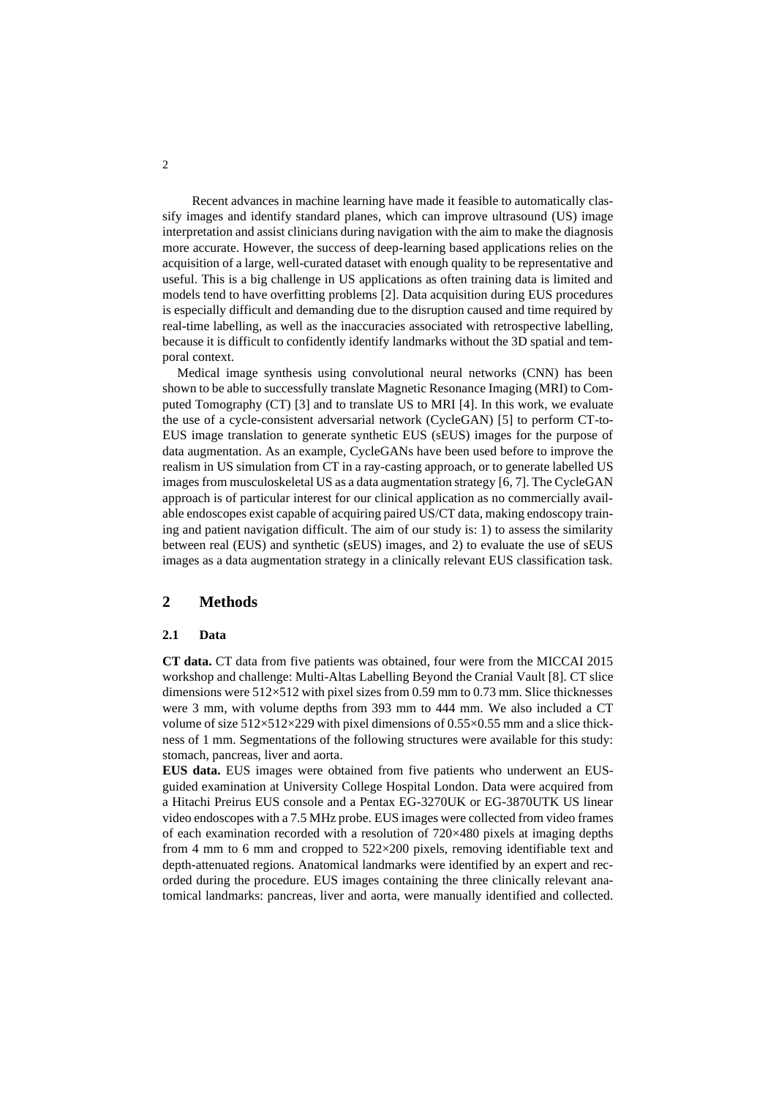Recent advances in machine learning have made it feasible to automatically classify images and identify standard planes, which can improve ultrasound (US) image interpretation and assist clinicians during navigation with the aim to make the diagnosis more accurate. However, the success of deep-learning based applications relies on the acquisition of a large, well-curated dataset with enough quality to be representative and useful. This is a big challenge in US applications as often training data is limited and models tend to have overfitting problems [2]. Data acquisition during EUS procedures is especially difficult and demanding due to the disruption caused and time required by real-time labelling, as well as the inaccuracies associated with retrospective labelling, because it is difficult to confidently identify landmarks without the 3D spatial and temporal context.

Medical image synthesis using convolutional neural networks (CNN) has been shown to be able to successfully translate Magnetic Resonance Imaging (MRI) to Computed Tomography (CT) [3] and to translate US to MRI [4]. In this work, we evaluate the use of a cycle-consistent adversarial network (CycleGAN) [5] to perform CT-to-EUS image translation to generate synthetic EUS (sEUS) images for the purpose of data augmentation. As an example, CycleGANs have been used before to improve the realism in US simulation from CT in a ray-casting approach, or to generate labelled US images from musculoskeletal US as a data augmentation strategy [6, 7]. The CycleGAN approach is of particular interest for our clinical application as no commercially available endoscopes exist capable of acquiring paired US/CT data, making endoscopy training and patient navigation difficult. The aim of our study is: 1) to assess the similarity between real (EUS) and synthetic (sEUS) images, and 2) to evaluate the use of sEUS images as a data augmentation strategy in a clinically relevant EUS classification task.

### **2 Methods**

#### **2.1 Data**

**CT data.** CT data from five patients was obtained, four were from the MICCAI 2015 workshop and challenge: Multi-Altas Labelling Beyond the Cranial Vault [8]. CT slice dimensions were 512×512 with pixel sizes from 0.59 mm to 0.73 mm. Slice thicknesses were 3 mm, with volume depths from 393 mm to 444 mm. We also included a CT volume of size  $512\times512\times229$  with pixel dimensions of  $0.55\times0.55$  mm and a slice thickness of 1 mm. Segmentations of the following structures were available for this study: stomach, pancreas, liver and aorta.

**EUS data.** EUS images were obtained from five patients who underwent an EUSguided examination at University College Hospital London. Data were acquired from a Hitachi Preirus EUS console and a Pentax EG-3270UK or EG-3870UTK US linear video endoscopes with a 7.5 MHz probe. EUS images were collected from video frames of each examination recorded with a resolution of 720×480 pixels at imaging depths from 4 mm to 6 mm and cropped to 522×200 pixels, removing identifiable text and depth-attenuated regions. Anatomical landmarks were identified by an expert and recorded during the procedure. EUS images containing the three clinically relevant anatomical landmarks: pancreas, liver and aorta, were manually identified and collected.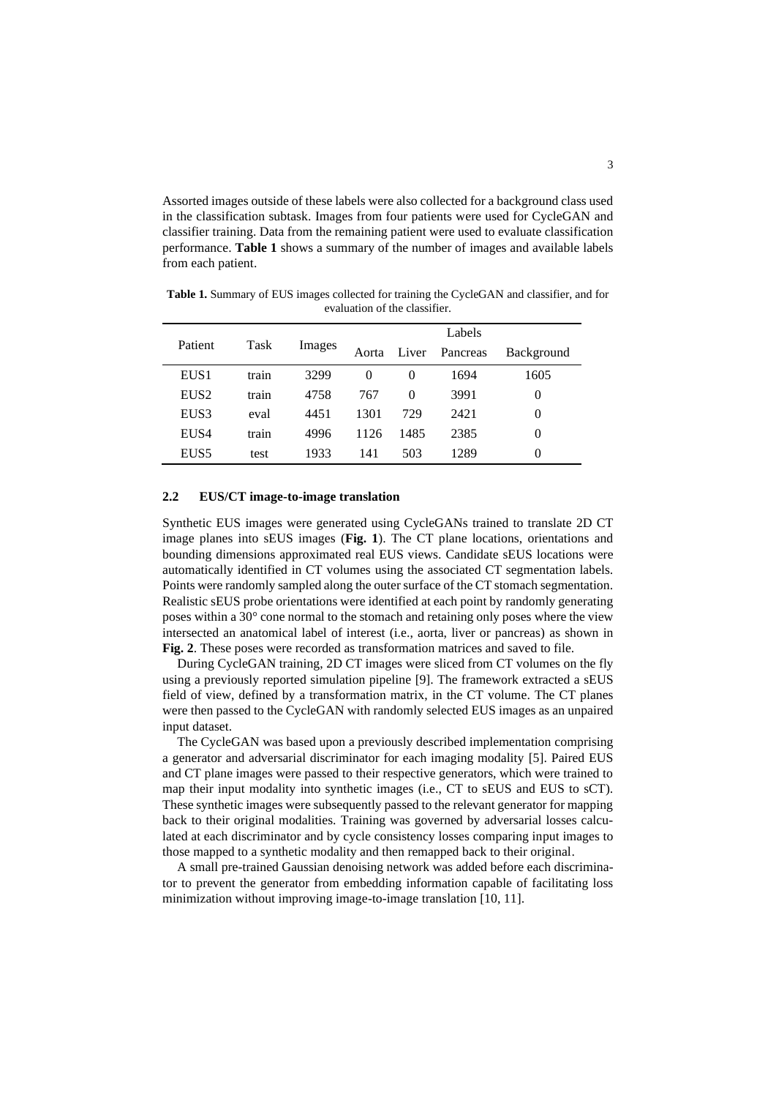Assorted images outside of these labels were also collected for a background class used in the classification subtask. Images from four patients were used for CycleGAN and classifier training. Data from the remaining patient were used to evaluate classification performance. **[Table 1](#page-2-0)** shows a summary of the number of images and available labels from each patient.

|                  | Task  | Images | Labels |       |          |            |  |
|------------------|-------|--------|--------|-------|----------|------------|--|
| Patient          |       |        | Aorta  | Liver | Pancreas | Background |  |
| EUS <sub>1</sub> | train | 3299   | 0      | 0     | 1694     | 1605       |  |
| EUS <sub>2</sub> | train | 4758   | 767    | 0     | 3991     | 0          |  |
| EUS <sub>3</sub> | eval  | 4451   | 1301   | 729   | 2421     | 0          |  |
| EUS4             | train | 4996   | 1126   | 1485  | 2385     | 0          |  |
| EUS <sub>5</sub> | test  | 1933   | 141    | 503   | 1289     | 0          |  |

<span id="page-2-0"></span>**Table 1.** Summary of EUS images collected for training the CycleGAN and classifier, and for evaluation of the classifier.

#### **2.2 EUS/CT image-to-image translation**

Synthetic EUS images were generated using CycleGANs trained to translate 2D CT image planes into sEUS images (**[Fig. 1](#page-6-0)**). The CT plane locations, orientations and bounding dimensions approximated real EUS views. Candidate sEUS locations were automatically identified in CT volumes using the associated CT segmentation labels. Points were randomly sampled along the outer surface of the CT stomach segmentation. Realistic sEUS probe orientations were identified at each point by randomly generating poses within a 30° cone normal to the stomach and retaining only poses where the view intersected an anatomical label of interest (i.e., aorta, liver or pancreas) as shown in **[Fig. 2](#page-6-1)**. These poses were recorded as transformation matrices and saved to file.

During CycleGAN training, 2D CT images were sliced from CT volumes on the fly using a previously reported simulation pipeline [9]. The framework extracted a sEUS field of view, defined by a transformation matrix, in the CT volume. The CT planes were then passed to the CycleGAN with randomly selected EUS images as an unpaired input dataset.

The CycleGAN was based upon a previously described implementation comprising a generator and adversarial discriminator for each imaging modality [5]. Paired EUS and CT plane images were passed to their respective generators, which were trained to map their input modality into synthetic images (i.e., CT to sEUS and EUS to sCT). These synthetic images were subsequently passed to the relevant generator for mapping back to their original modalities. Training was governed by adversarial losses calculated at each discriminator and by cycle consistency losses comparing input images to those mapped to a synthetic modality and then remapped back to their original.

A small pre-trained Gaussian denoising network was added before each discriminator to prevent the generator from embedding information capable of facilitating loss minimization without improving image-to-image translation [10, 11].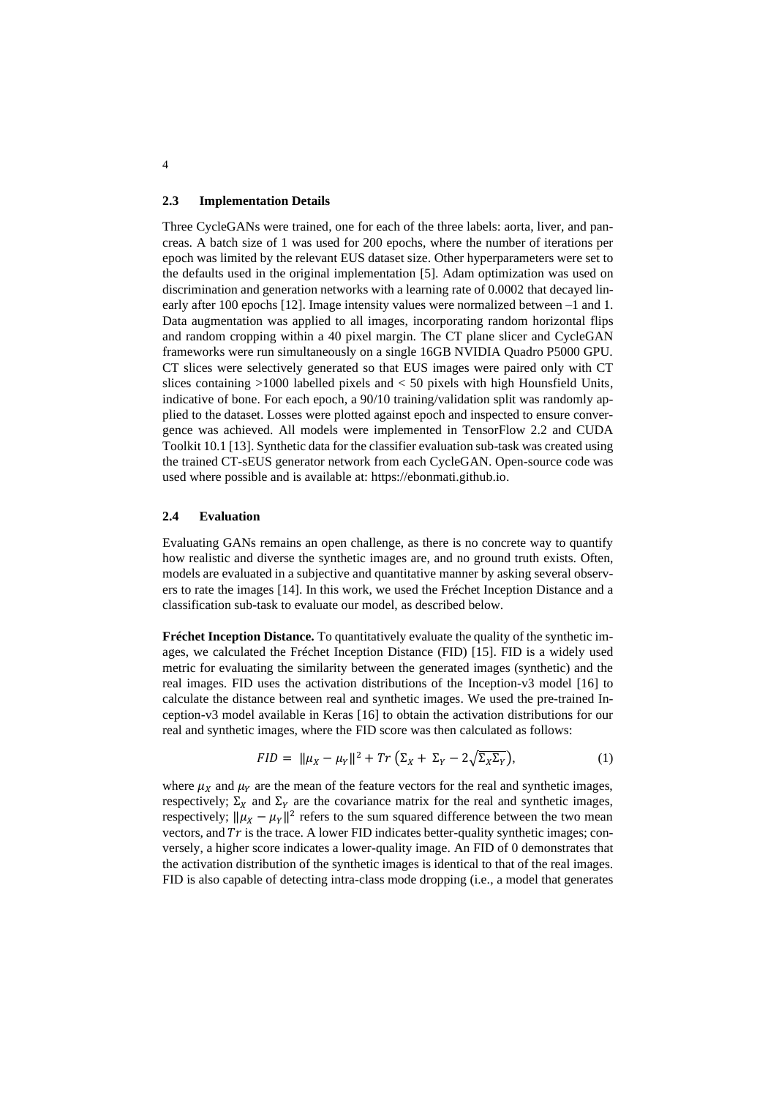#### **2.3 Implementation Details**

Three CycleGANs were trained, one for each of the three labels: aorta, liver, and pancreas. A batch size of 1 was used for 200 epochs, where the number of iterations per epoch was limited by the relevant EUS dataset size. Other hyperparameters were set to the defaults used in the original implementation [5]. Adam optimization was used on discrimination and generation networks with a learning rate of 0.0002 that decayed linearly after 100 epochs [12]. Image intensity values were normalized between –1 and 1. Data augmentation was applied to all images, incorporating random horizontal flips and random cropping within a 40 pixel margin. The CT plane slicer and CycleGAN frameworks were run simultaneously on a single 16GB NVIDIA Quadro P5000 GPU. CT slices were selectively generated so that EUS images were paired only with CT slices containing  $>1000$  labelled pixels and  $< 50$  pixels with high Hounsfield Units, indicative of bone. For each epoch, a 90/10 training/validation split was randomly applied to the dataset. Losses were plotted against epoch and inspected to ensure convergence was achieved. All models were implemented in TensorFlow 2.2 and CUDA Toolkit 10.1 [13]. Synthetic data for the classifier evaluation sub-task was created using the trained CT-sEUS generator network from each CycleGAN. Open-source code was used where possible and is available at: https://ebonmati.github.io.

#### **2.4 Evaluation**

Evaluating GANs remains an open challenge, as there is no concrete way to quantify how realistic and diverse the synthetic images are, and no ground truth exists. Often, models are evaluated in a subjective and quantitative manner by asking several observers to rate the images [14]. In this work, we used the Fréchet Inception Distance and a classification sub-task to evaluate our model, as described below.

**Fréchet Inception Distance.** To quantitatively evaluate the quality of the synthetic images, we calculated the Fréchet Inception Distance (FID) [15]. FID is a widely used metric for evaluating the similarity between the generated images (synthetic) and the real images. FID uses the activation distributions of the Inception-v3 model [16] to calculate the distance between real and synthetic images. We used the pre-trained Inception-v3 model available in Keras [16] to obtain the activation distributions for our real and synthetic images, where the FID score was then calculated as follows:

$$
FID = \|\mu_X - \mu_Y\|^2 + Tr\left(\Sigma_X + \Sigma_Y - 2\sqrt{\Sigma_X \Sigma_Y}\right),\tag{1}
$$

where  $\mu_X$  and  $\mu_Y$  are the mean of the feature vectors for the real and synthetic images, respectively;  $\Sigma_X$  and  $\Sigma_Y$  are the covariance matrix for the real and synthetic images, respectively;  $\|\mu_X - \mu_Y\|^2$  refers to the sum squared difference between the two mean vectors, and  $Tr$  is the trace. A lower FID indicates better-quality synthetic images; conversely, a higher score indicates a lower-quality image. An FID of 0 demonstrates that the activation distribution of the synthetic images is identical to that of the real images. FID is also capable of detecting intra-class mode dropping (i.e., a model that generates

4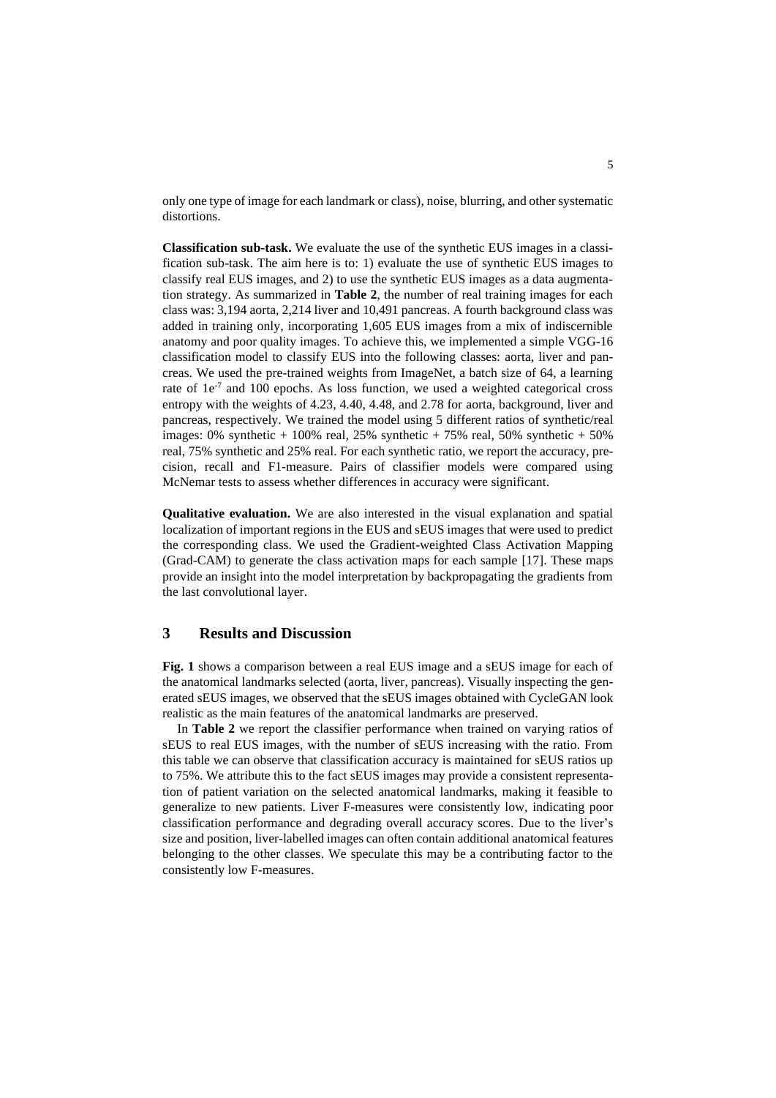only one type of image for each landmark or class), noise, blurring, and other systematic distortions.

**Classification sub-task.** We evaluate the use of the synthetic EUS images in a classification sub-task. The aim here is to: 1) evaluate the use of synthetic EUS images to classify real EUS images, and 2) to use the synthetic EUS images as a data augmentation strategy. As summarized in **[Table 2](#page-7-0)**, the number of real training images for each class was: 3,194 aorta, 2,214 liver and 10,491 pancreas. A fourth background class was added in training only, incorporating 1,605 EUS images from a mix of indiscernible anatomy and poor quality images. To achieve this, we implemented a simple VGG-16 classification model to classify EUS into the following classes: aorta, liver and pancreas. We used the pre-trained weights from ImageNet, a batch size of 64, a learning rate of  $1e^{-7}$  and 100 epochs. As loss function, we used a weighted categorical cross entropy with the weights of 4.23, 4.40, 4.48, and 2.78 for aorta, background, liver and pancreas, respectively. We trained the model using 5 different ratios of synthetic/real images: 0% synthetic + 100% real, 25% synthetic + 75% real, 50% synthetic + 50% real, 75% synthetic and 25% real. For each synthetic ratio, we report the accuracy, precision, recall and F1-measure. Pairs of classifier models were compared using McNemar tests to assess whether differences in accuracy were significant.

**Qualitative evaluation.** We are also interested in the visual explanation and spatial localization of important regions in the EUS and sEUS images that were used to predict the corresponding class. We used the Gradient-weighted Class Activation Mapping (Grad-CAM) to generate the class activation maps for each sample [17]. These maps provide an insight into the model interpretation by backpropagating the gradients from the last convolutional layer.

## **3 Results and Discussion**

**[Fig. 1](#page-6-0)** shows a comparison between a real EUS image and a sEUS image for each of the anatomical landmarks selected (aorta, liver, pancreas). Visually inspecting the generated sEUS images, we observed that the sEUS images obtained with CycleGAN look realistic as the main features of the anatomical landmarks are preserved.

In **[Table 2](#page-7-0)** we report the classifier performance when trained on varying ratios of sEUS to real EUS images, with the number of sEUS increasing with the ratio. From this table we can observe that classification accuracy is maintained for sEUS ratios up to 75%. We attribute this to the fact sEUS images may provide a consistent representation of patient variation on the selected anatomical landmarks, making it feasible to generalize to new patients. Liver F-measures were consistently low, indicating poor classification performance and degrading overall accuracy scores. Due to the liver's size and position, liver-labelled images can often contain additional anatomical features belonging to the other classes. We speculate this may be a contributing factor to the consistently low F-measures.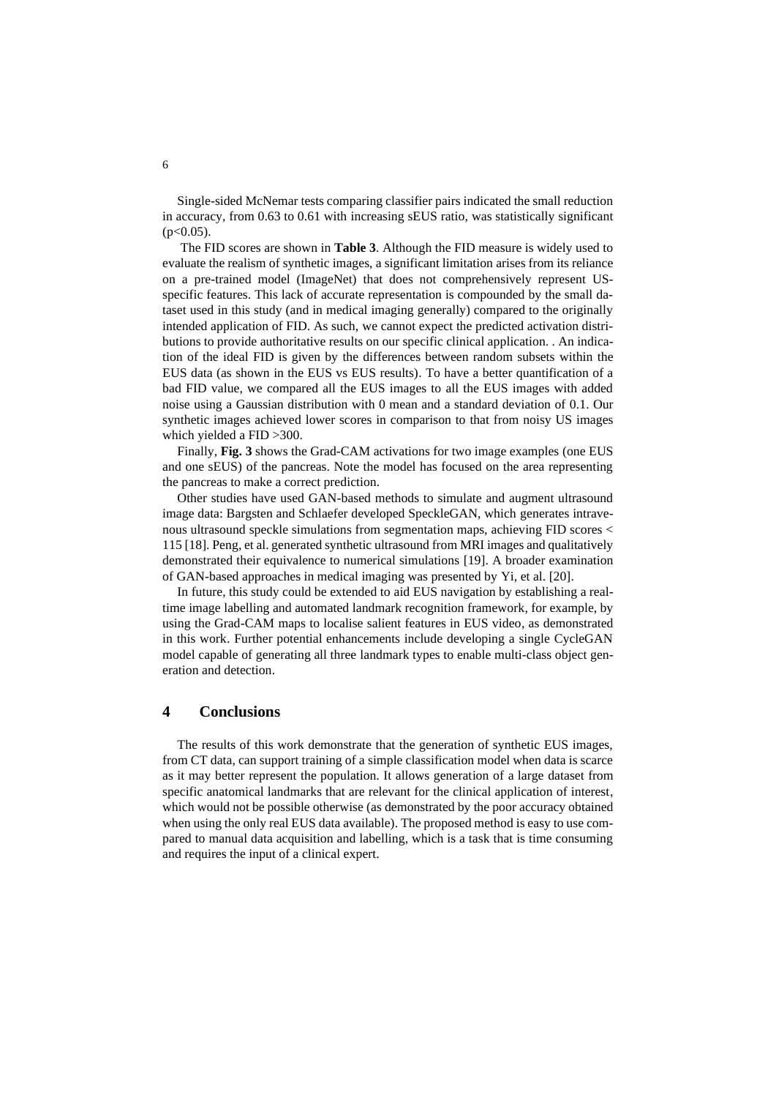Single-sided McNemar tests comparing classifier pairs indicated the small reduction in accuracy, from 0.63 to 0.61 with increasing sEUS ratio, was statistically significant  $(p<0.05)$ .

The FID scores are shown in **[Table 3](#page-7-1)**. Although the FID measure is widely used to evaluate the realism of synthetic images, a significant limitation arises from its reliance on a pre-trained model (ImageNet) that does not comprehensively represent USspecific features. This lack of accurate representation is compounded by the small dataset used in this study (and in medical imaging generally) compared to the originally intended application of FID. As such, we cannot expect the predicted activation distributions to provide authoritative results on our specific clinical application. . An indication of the ideal FID is given by the differences between random subsets within the EUS data (as shown in the EUS vs EUS results). To have a better quantification of a bad FID value, we compared all the EUS images to all the EUS images with added noise using a Gaussian distribution with 0 mean and a standard deviation of 0.1. Our synthetic images achieved lower scores in comparison to that from noisy US images which yielded a FID >300.

Finally, **[Fig. 3](#page-6-2)** shows the Grad-CAM activations for two image examples (one EUS and one sEUS) of the pancreas. Note the model has focused on the area representing the pancreas to make a correct prediction.

Other studies have used GAN-based methods to simulate and augment ultrasound image data: Bargsten and Schlaefer developed SpeckleGAN, which generates intravenous ultrasound speckle simulations from segmentation maps, achieving FID scores < 115 [18]. Peng, et al. generated synthetic ultrasound from MRI images and qualitatively demonstrated their equivalence to numerical simulations [19]. A broader examination of GAN-based approaches in medical imaging was presented by Yi, et al. [20].

In future, this study could be extended to aid EUS navigation by establishing a realtime image labelling and automated landmark recognition framework, for example, by using the Grad-CAM maps to localise salient features in EUS video, as demonstrated in this work. Further potential enhancements include developing a single CycleGAN model capable of generating all three landmark types to enable multi-class object generation and detection.

# **4 Conclusions**

The results of this work demonstrate that the generation of synthetic EUS images, from CT data, can support training of a simple classification model when data is scarce as it may better represent the population. It allows generation of a large dataset from specific anatomical landmarks that are relevant for the clinical application of interest, which would not be possible otherwise (as demonstrated by the poor accuracy obtained when using the only real EUS data available). The proposed method is easy to use compared to manual data acquisition and labelling, which is a task that is time consuming and requires the input of a clinical expert.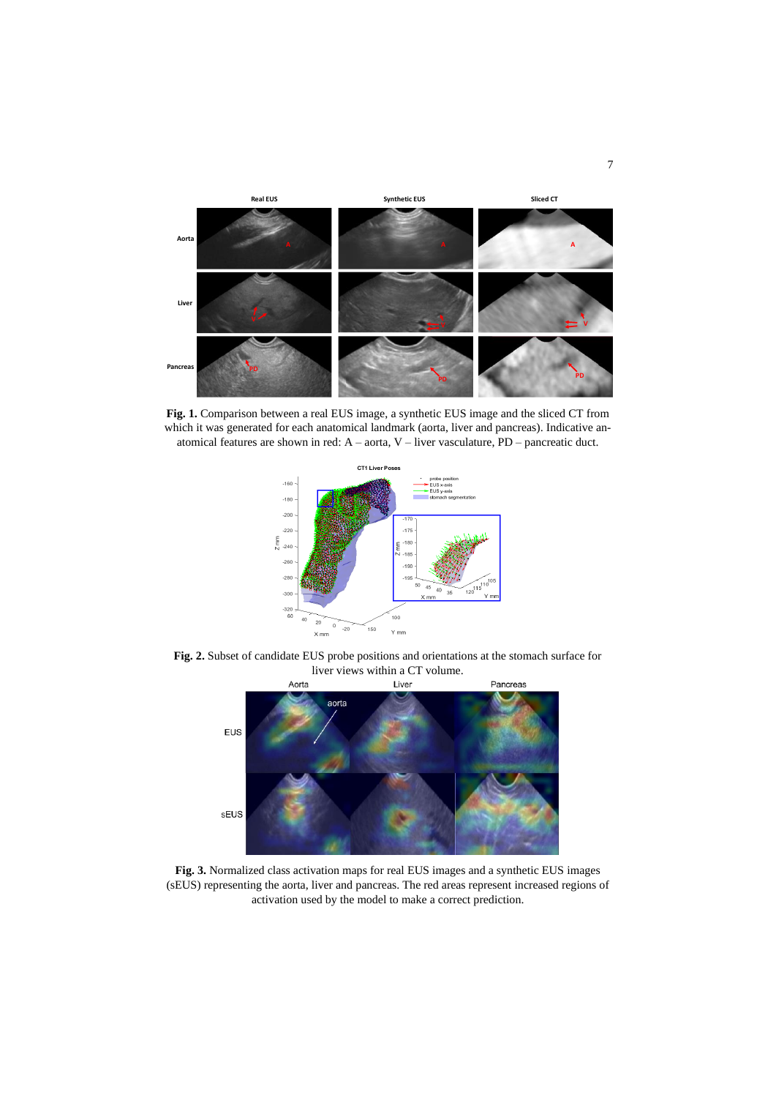

<span id="page-6-0"></span>**Fig. 1.** Comparison between a real EUS image, a synthetic EUS image and the sliced CT from which it was generated for each anatomical landmark (aorta, liver and pancreas). Indicative anatomical features are shown in red: A – aorta, V – liver vasculature, PD – pancreatic duct.



<span id="page-6-1"></span>**Fig. 2.** Subset of candidate EUS probe positions and orientations at the stomach surface for liver views within a CT volume.



<span id="page-6-2"></span>**Fig. 3.** Normalized class activation maps for real EUS images and a synthetic EUS images (sEUS) representing the aorta, liver and pancreas. The red areas represent increased regions of activation used by the model to make a correct prediction.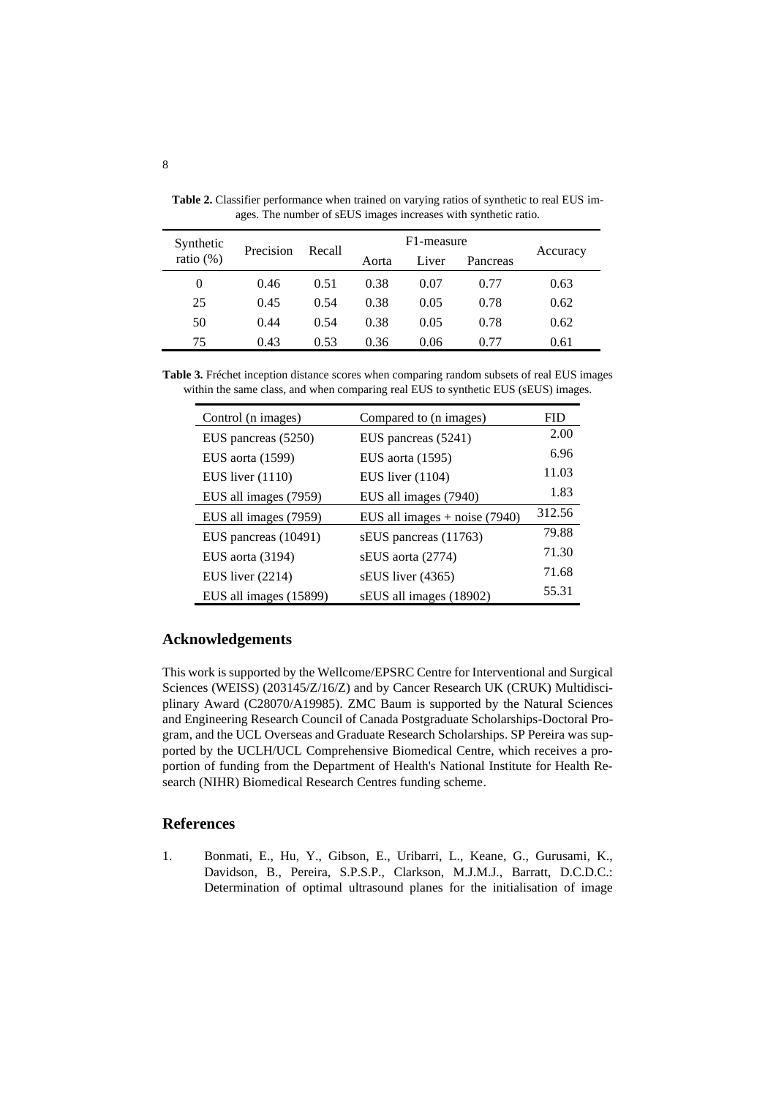| Synthetic      | Precision | Recall | F1-measure |       |          |          |
|----------------|-----------|--------|------------|-------|----------|----------|
| ratio $(\%)$   |           |        | Aorta      | Liver | Pancreas | Accuracy |
| $\overline{0}$ | 0.46      | 0.51   | 0.38       | 0.07  | 0.77     | 0.63     |
| 25             | 0.45      | 0.54   | 0.38       | 0.05  | 0.78     | 0.62     |
| 50             | 0.44      | 0.54   | 0.38       | 0.05  | 0.78     | 0.62     |
| 75             | 0.43      | 0.53   | 0.36       | 0.06  | 0.77     | 0.61     |

<span id="page-7-0"></span>**Table 2.** Classifier performance when trained on varying ratios of synthetic to real EUS images. The number of sEUS images increases with synthetic ratio.

<span id="page-7-1"></span>**Table 3.** Fréchet inception distance scores when comparing random subsets of real EUS images within the same class, and when comparing real EUS to synthetic EUS (sEUS) images.

| Control (n images)     | Compared to (n images)          | <b>FID</b> |
|------------------------|---------------------------------|------------|
| EUS pancreas (5250)    | EUS pancreas (5241)             | 2.00       |
| EUS aorta (1599)       | EUS aorta (1595)                | 6.96       |
| EUS liver $(1110)$     | EUS liver $(1104)$              | 11.03      |
| EUS all images (7959)  | EUS all images (7940)           | 1.83       |
| EUS all images (7959)  | EUS all images $+$ noise (7940) | 312.56     |
| EUS pancreas (10491)   | sEUS pancreas (11763)           | 79.88      |
| EUS aorta $(3194)$     | sEUS aorta (2774)               | 71.30      |
| EUS liver $(2214)$     | sEUS liver (4365)               | 71.68      |
| EUS all images (15899) | sEUS all images (18902)         | 55.31      |

### **Acknowledgements**

This work is supported by the Wellcome/EPSRC Centre for Interventional and Surgical Sciences (WEISS) (203145/Z/16/Z) and by Cancer Research UK (CRUK) Multidisciplinary Award (C28070/A19985). ZMC Baum is supported by the Natural Sciences and Engineering Research Council of Canada Postgraduate Scholarships-Doctoral Program, and the UCL Overseas and Graduate Research Scholarships. SP Pereira was supported by the UCLH/UCL Comprehensive Biomedical Centre, which receives a proportion of funding from the Department of Health's National Institute for Health Research (NIHR) Biomedical Research Centres funding scheme.

# **References**

1. Bonmati, E., Hu, Y., Gibson, E., Uribarri, L., Keane, G., Gurusami, K., Davidson, B., Pereira, S.P.S.P., Clarkson, M.J.M.J., Barratt, D.C.D.C.: Determination of optimal ultrasound planes for the initialisation of image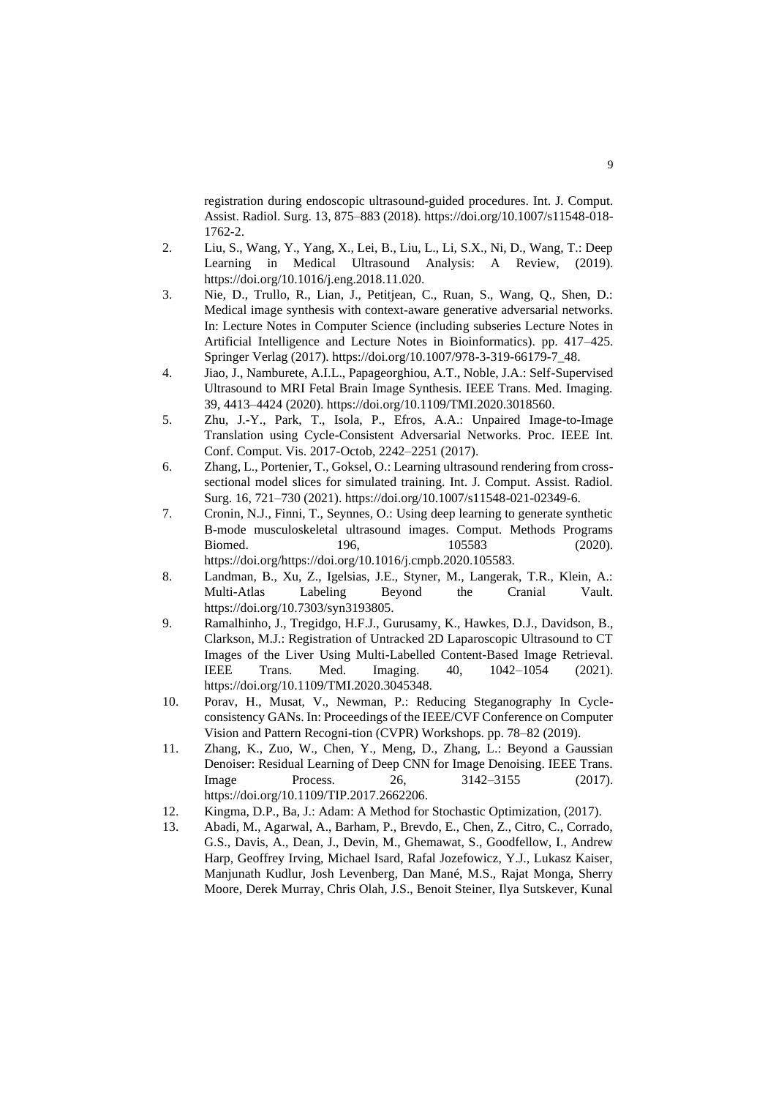registration during endoscopic ultrasound-guided procedures. Int. J. Comput. Assist. Radiol. Surg. 13, 875–883 (2018). https://doi.org/10.1007/s11548-018- 1762-2.

- 2. Liu, S., Wang, Y., Yang, X., Lei, B., Liu, L., Li, S.X., Ni, D., Wang, T.: Deep Learning in Medical Ultrasound Analysis: A Review, (2019). https://doi.org/10.1016/j.eng.2018.11.020.
- 3. Nie, D., Trullo, R., Lian, J., Petitjean, C., Ruan, S., Wang, Q., Shen, D.: Medical image synthesis with context-aware generative adversarial networks. In: Lecture Notes in Computer Science (including subseries Lecture Notes in Artificial Intelligence and Lecture Notes in Bioinformatics). pp. 417–425. Springer Verlag (2017). https://doi.org/10.1007/978-3-319-66179-7\_48.
- 4. Jiao, J., Namburete, A.I.L., Papageorghiou, A.T., Noble, J.A.: Self-Supervised Ultrasound to MRI Fetal Brain Image Synthesis. IEEE Trans. Med. Imaging. 39, 4413–4424 (2020). https://doi.org/10.1109/TMI.2020.3018560.
- 5. Zhu, J.-Y., Park, T., Isola, P., Efros, A.A.: Unpaired Image-to-Image Translation using Cycle-Consistent Adversarial Networks. Proc. IEEE Int. Conf. Comput. Vis. 2017-Octob, 2242–2251 (2017).
- 6. Zhang, L., Portenier, T., Goksel, O.: Learning ultrasound rendering from crosssectional model slices for simulated training. Int. J. Comput. Assist. Radiol. Surg. 16, 721–730 (2021). https://doi.org/10.1007/s11548-021-02349-6.
- 7. Cronin, N.J., Finni, T., Seynnes, O.: Using deep learning to generate synthetic B-mode musculoskeletal ultrasound images. Comput. Methods Programs Biomed. 196, 105583 (2020). https://doi.org/https://doi.org/10.1016/j.cmpb.2020.105583.
- 8. Landman, B., Xu, Z., Igelsias, J.E., Styner, M., Langerak, T.R., Klein, A.: Multi-Atlas Labeling Beyond the Cranial Vault. https://doi.org/10.7303/syn3193805.
- 9. Ramalhinho, J., Tregidgo, H.F.J., Gurusamy, K., Hawkes, D.J., Davidson, B., Clarkson, M.J.: Registration of Untracked 2D Laparoscopic Ultrasound to CT Images of the Liver Using Multi-Labelled Content-Based Image Retrieval. IEEE Trans. Med. Imaging. 40, 1042–1054 (2021). https://doi.org/10.1109/TMI.2020.3045348.
- 10. Porav, H., Musat, V., Newman, P.: Reducing Steganography In Cycleconsistency GANs. In: Proceedings of the IEEE/CVF Conference on Computer Vision and Pattern Recogni-tion (CVPR) Workshops. pp. 78–82 (2019).
- 11. Zhang, K., Zuo, W., Chen, Y., Meng, D., Zhang, L.: Beyond a Gaussian Denoiser: Residual Learning of Deep CNN for Image Denoising. IEEE Trans. Image Process. 26, 3142–3155 (2017). https://doi.org/10.1109/TIP.2017.2662206.
- 12. Kingma, D.P., Ba, J.: Adam: A Method for Stochastic Optimization, (2017).
- 13. Abadi, M., Agarwal, A., Barham, P., Brevdo, E., Chen, Z., Citro, C., Corrado, G.S., Davis, A., Dean, J., Devin, M., Ghemawat, S., Goodfellow, I., Andrew Harp, Geoffrey Irving, Michael Isard, Rafal Jozefowicz, Y.J., Lukasz Kaiser, Manjunath Kudlur, Josh Levenberg, Dan Mané, M.S., Rajat Monga, Sherry Moore, Derek Murray, Chris Olah, J.S., Benoit Steiner, Ilya Sutskever, Kunal